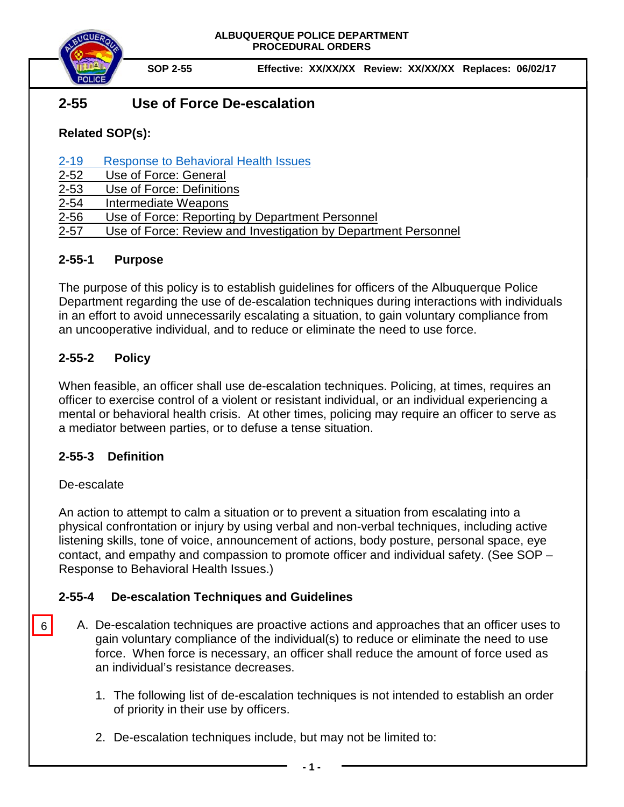

**SOP 2-55 Effective: XX/XX/XX Review: XX/XX/XX Replaces: 06/02/17**

# **2-55 Use of Force De-escalation**

**Related SOP(s):**

[2-19 Response to Behavioral Health Issues](https://powerdms.com/link/IDS/document/?id=1192186)

- [2-52 Use of Force: General](https://powerdms.com/docs/135?q=2-52)
- [2-53 Use of Force:](https://powerdms.com/docs/137?q=2-53) Definitions
- [2-54 Intermediate Weapons](https://powerdms.com/docs/755463?q=2-54)
- [2-56 Use of Force: Reporting by Department Personnel](https://powerdms.com/docs/208?q=2-56)
- 2-57 Use of Force: Review and Investigation by Department Personnel

### **2-55-1 Purpose**

The purpose of this policy is to establish guidelines for officers of the Albuquerque Police Department regarding the use of de-escalation techniques during interactions with individuals in an effort to avoid unnecessarily escalating a situation, to gain voluntary compliance from an uncooperative individual, and to reduce or eliminate the need to use force.

## **2-55-2 Policy**

When feasible, an officer shall use de-escalation techniques. Policing, at times, requires an officer to exercise control of a violent or resistant individual, or an individual experiencing a mental or behavioral health crisis. At other times, policing may require an officer to serve as a mediator between parties, or to defuse a tense situation.

### **2-55-3 Definition**

### De-escalate

6

An action to attempt to calm a situation or to prevent a situation from escalating into a physical confrontation or injury by using verbal and non-verbal techniques, including active listening skills, tone of voice, announcement of actions, body posture, personal space, eye contact, and empathy and compassion to promote officer and individual safety. (See SOP – Response to Behavioral Health Issues.)

### **2-55-4 De-escalation Techniques and Guidelines**

- A. De-escalation techniques are proactive actions and approaches that an officer uses to gain voluntary compliance of the individual(s) to reduce or eliminate the need to use force. When force is necessary, an officer shall reduce the amount of force used as an individual's resistance decreases.
	- 1. The following list of de-escalation techniques is not intended to establish an order of priority in their use by officers.
	- 2. De-escalation techniques include, but may not be limited to: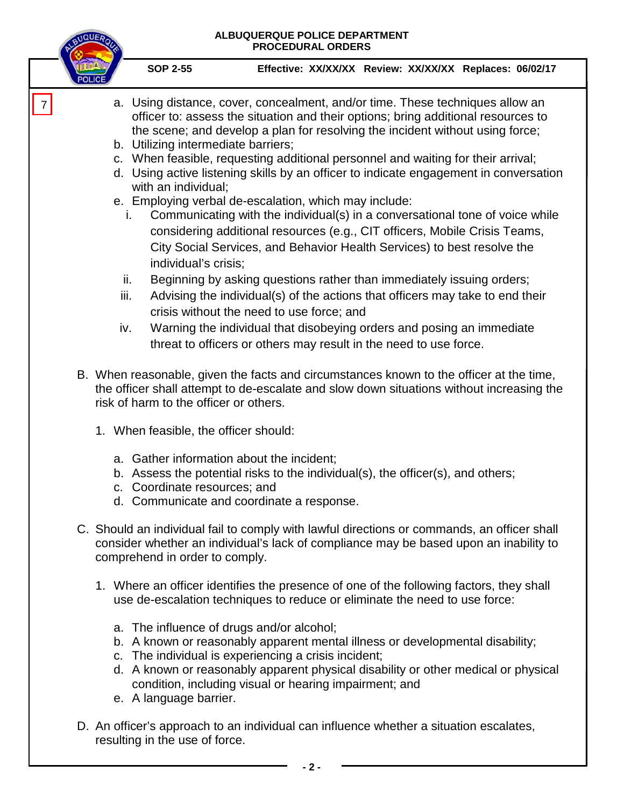#### **ALBUQUERQUE POLICE DEPARTMENT PROCEDURAL ORDERS**



7

**SOP 2-55 Effective: XX/XX/XX Review: XX/XX/XX Replaces: 06/02/17**

- a. Using distance, cover, concealment, and/or time. These techniques allow an officer to: assess the situation and their options; bring additional resources to the scene; and develop a plan for resolving the incident without using force;
- b. Utilizing intermediate barriers;
- c. When feasible, requesting additional personnel and waiting for their arrival;
- d. Using active listening skills by an officer to indicate engagement in conversation with an individual;
- e. Employing verbal de-escalation, which may include:
	- i. Communicating with the individual(s) in a conversational tone of voice while considering additional resources (e.g., CIT officers, Mobile Crisis Teams, City Social Services, and Behavior Health Services) to best resolve the individual's crisis;
	- ii. Beginning by asking questions rather than immediately issuing orders;
	- iii. Advising the individual(s) of the actions that officers may take to end their crisis without the need to use force; and
- iv. Warning the individual that disobeying orders and posing an immediate threat to officers or others may result in the need to use force.
- B. When reasonable, given the facts and circumstances known to the officer at the time, the officer shall attempt to de-escalate and slow down situations without increasing the risk of harm to the officer or others.
	- 1. When feasible, the officer should:
		- a. Gather information about the incident;
		- b. Assess the potential risks to the individual(s), the officer(s), and others;
		- c. Coordinate resources; and
		- d. Communicate and coordinate a response.
- C. Should an individual fail to comply with lawful directions or commands, an officer shall consider whether an individual's lack of compliance may be based upon an inability to comprehend in order to comply.
	- 1. Where an officer identifies the presence of one of the following factors, they shall use de-escalation techniques to reduce or eliminate the need to use force:
		- a. The influence of drugs and/or alcohol;
		- b. A known or reasonably apparent mental illness or developmental disability;
		- c. The individual is experiencing a crisis incident;
		- d. A known or reasonably apparent physical disability or other medical or physical condition, including visual or hearing impairment; and
		- e. A language barrier.
- D. An officer's approach to an individual can influence whether a situation escalates, resulting in the use of force.